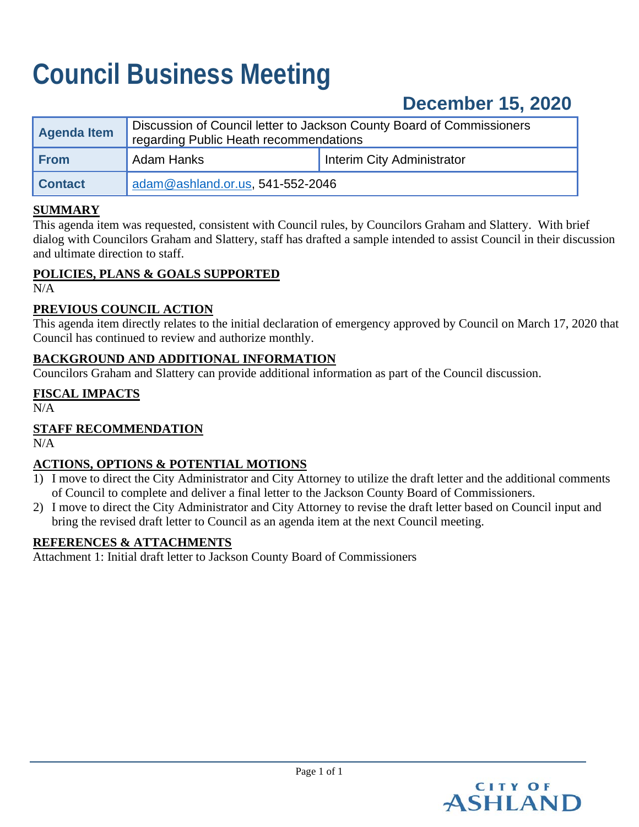# **Council Business Meeting**

# **December 15, 2020**

| <b>Agenda Item</b> | Discussion of Council letter to Jackson County Board of Commissioners<br>regarding Public Heath recommendations |                                   |
|--------------------|-----------------------------------------------------------------------------------------------------------------|-----------------------------------|
| <b>From</b>        | Adam Hanks                                                                                                      | <b>Interim City Administrator</b> |
| <b>Contact</b>     | adam@ashland.or.us, 541-552-2046                                                                                |                                   |

# **SUMMARY**

This agenda item was requested, consistent with Council rules, by Councilors Graham and Slattery. With brief dialog with Councilors Graham and Slattery, staff has drafted a sample intended to assist Council in their discussion and ultimate direction to staff.

#### **POLICIES, PLANS & GOALS SUPPORTED**

N/A

#### **PREVIOUS COUNCIL ACTION**

This agenda item directly relates to the initial declaration of emergency approved by Council on March 17, 2020 that Council has continued to review and authorize monthly.

#### **BACKGROUND AND ADDITIONAL INFORMATION**

Councilors Graham and Slattery can provide additional information as part of the Council discussion.

#### **FISCAL IMPACTS**

 $N/A$ 

# **STAFF RECOMMENDATION**

N/A

# **ACTIONS, OPTIONS & POTENTIAL MOTIONS**

- 1) I move to direct the City Administrator and City Attorney to utilize the draft letter and the additional comments of Council to complete and deliver a final letter to the Jackson County Board of Commissioners.
- 2) I move to direct the City Administrator and City Attorney to revise the draft letter based on Council input and bring the revised draft letter to Council as an agenda item at the next Council meeting.

#### **REFERENCES & ATTACHMENTS**

Attachment 1: Initial draft letter to Jackson County Board of Commissioners